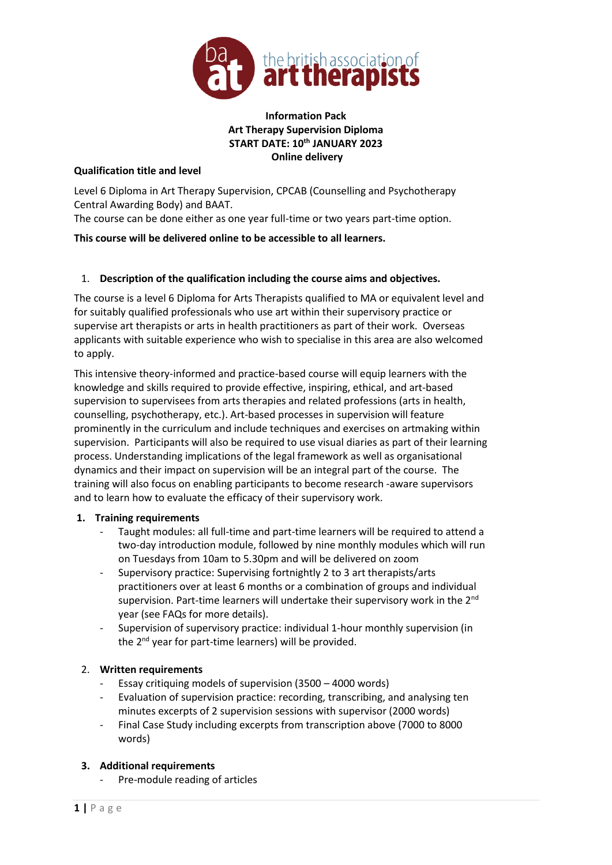

# **Information Pack Art Therapy Supervision Diploma START DATE: 10th JANUARY 2023 Online delivery**

#### **Qualification title and level**

Level 6 Diploma in Art Therapy Supervision, CPCAB (Counselling and Psychotherapy Central Awarding Body) and BAAT.

The course can be done either as one year full-time or two years part-time option.

### **This course will be delivered online to be accessible to all learners.**

# 1. **Description of the qualification including the course aims and objectives.**

The course is a level 6 Diploma for Arts Therapists qualified to MA or equivalent level and for suitably qualified professionals who use art within their supervisory practice or supervise art therapists or arts in health practitioners as part of their work. Overseas applicants with suitable experience who wish to specialise in this area are also welcomed to apply.

This intensive theory-informed and practice-based course will equip learners with the knowledge and skills required to provide effective, inspiring, ethical, and art-based supervision to supervisees from arts therapies and related professions (arts in health, counselling, psychotherapy, etc.). Art-based processes in supervision will feature prominently in the curriculum and include techniques and exercises on artmaking within supervision. Participants will also be required to use visual diaries as part of their learning process. Understanding implications of the legal framework as well as organisational dynamics and their impact on supervision will be an integral part of the course. The training will also focus on enabling participants to become research -aware supervisors and to learn how to evaluate the efficacy of their supervisory work.

#### **1. Training requirements**

- Taught modules: all full-time and part-time learners will be required to attend a two-day introduction module, followed by nine monthly modules which will run on Tuesdays from 10am to 5.30pm and will be delivered on zoom
- Supervisory practice: Supervising fortnightly 2 to 3 art therapists/arts practitioners over at least 6 months or a combination of groups and individual supervision. Part-time learners will undertake their supervisory work in the 2<sup>nd</sup> year (see FAQs for more details).
- Supervision of supervisory practice: individual 1-hour monthly supervision (in the 2<sup>nd</sup> year for part-time learners) will be provided.

# 2. **Written requirements**

- Essay critiquing models of supervision (3500 4000 words)
- Evaluation of supervision practice: recording, transcribing, and analysing ten minutes excerpts of 2 supervision sessions with supervisor (2000 words)
- Final Case Study including excerpts from transcription above (7000 to 8000 words)

# **3. Additional requirements**

Pre-module reading of articles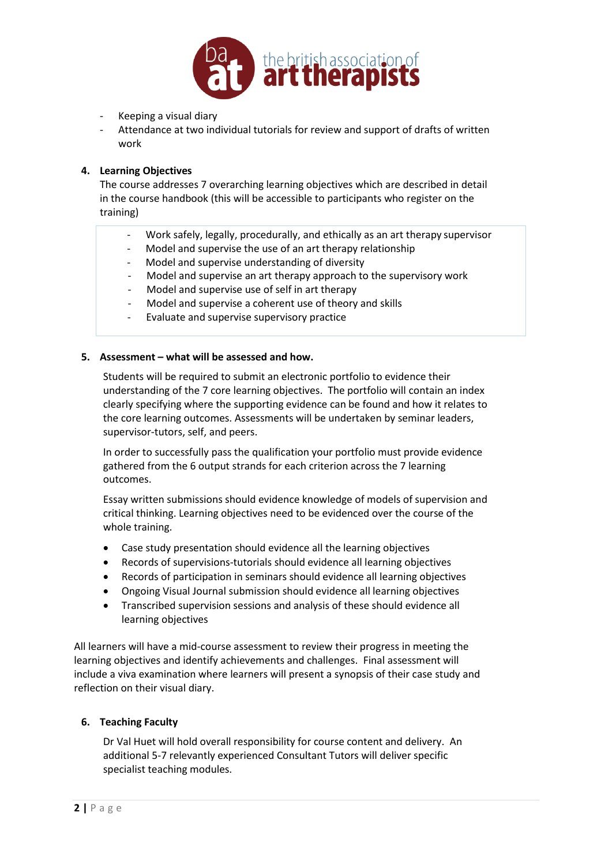

- Keeping a visual diary
- Attendance at two individual tutorials for review and support of drafts of written work

### **4. Learning Objectives**

The course addresses 7 overarching learning objectives which are described in detail in the course handbook (this will be accessible to participants who register on the training)

- Work safely, legally, procedurally, and ethically as an art therapy supervisor
- Model and supervise the use of an art therapy relationship
- Model and supervise understanding of diversity
- Model and supervise an art therapy approach to the supervisory work
- Model and supervise use of self in art therapy
- Model and supervise a coherent use of theory and skills
- Evaluate and supervise supervisory practice

#### **5. Assessment – what will be assessed and how.**

Students will be required to submit an electronic portfolio to evidence their understanding of the 7 core learning objectives. The portfolio will contain an index clearly specifying where the supporting evidence can be found and how it relates to the core learning outcomes. Assessments will be undertaken by seminar leaders, supervisor-tutors, self, and peers.

In order to successfully pass the qualification your portfolio must provide evidence gathered from the 6 output strands for each criterion across the 7 learning outcomes.

Essay written submissions should evidence knowledge of models of supervision and critical thinking. Learning objectives need to be evidenced over the course of the whole training.

- Case study presentation should evidence all the learning objectives
- Records of supervisions-tutorials should evidence all learning objectives
- Records of participation in seminars should evidence all learning objectives
- Ongoing Visual Journal submission should evidence all learning objectives
- Transcribed supervision sessions and analysis of these should evidence all learning objectives

All learners will have a mid-course assessment to review their progress in meeting the learning objectives and identify achievements and challenges. Final assessment will include a viva examination where learners will present a synopsis of their case study and reflection on their visual diary.

#### **6. Teaching Faculty**

Dr Val Huet will hold overall responsibility for course content and delivery. An additional 5-7 relevantly experienced Consultant Tutors will deliver specific specialist teaching modules.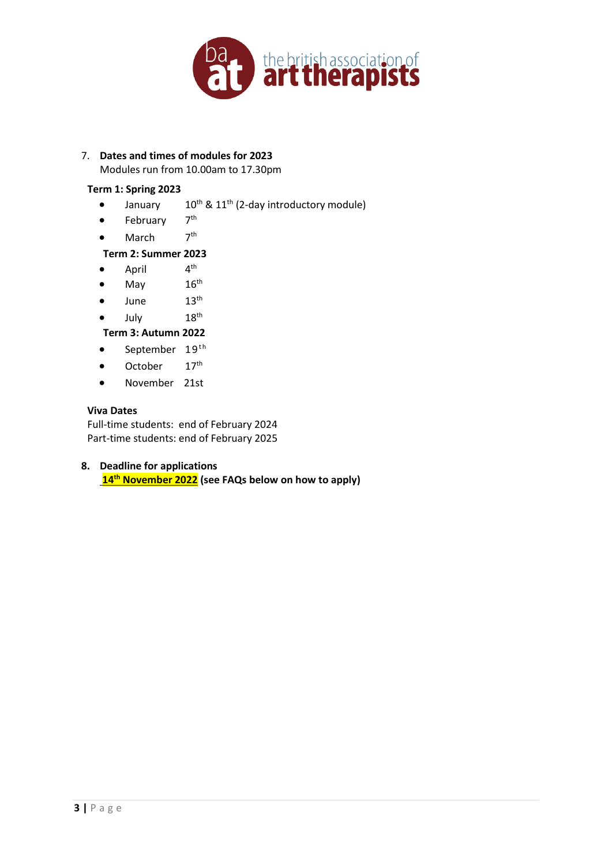

# 7. **Dates and times of modules for 2023**

Modules run from 10.00am to 17.30pm

# **Term 1: Spring 2023**

- $\bullet$  January  $10^{\text{th}}$  &  $11^{\text{th}}$  (2-day introductory module)
- February 7<sup>th</sup>
- March 7  $7<sup>th</sup>$

# **Term 2: Summer 2023**

- April 4  $4<sup>th</sup>$
- May  $16^{th}$
- June  $13<sup>th</sup>$
- July 18<sup>th</sup>

# **Term 3: Autumn 2022**

- September  $19<sup>th</sup>$
- $\bullet$  October 17<sup>th</sup>
- November 21st

# **Viva Dates**

Full-time students: end of February 2024 Part-time students: end of February 2025

# **8. Deadline for applications 14th November 2022 (see FAQs below on how to apply)**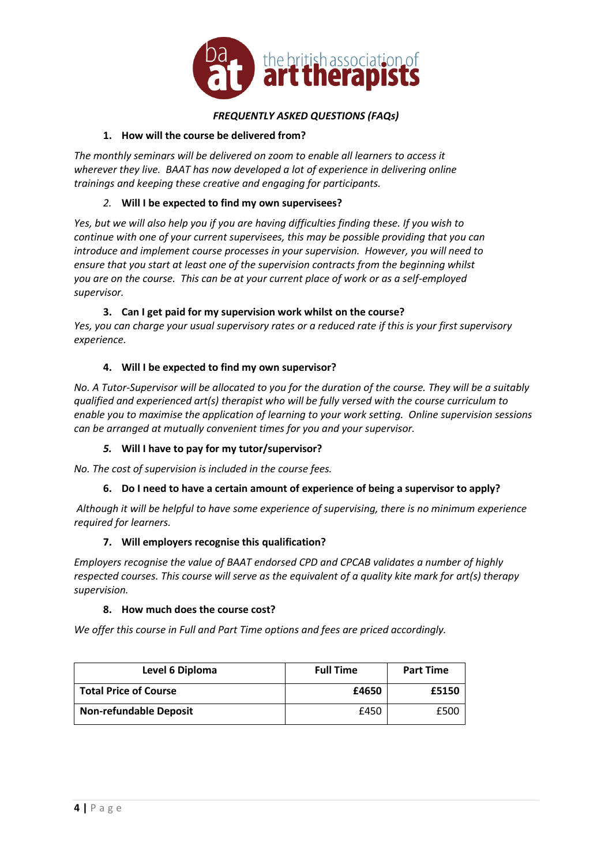

# *FREQUENTLY ASKED QUESTIONS (FAQs)*

### **1. How will the course be delivered from?**

*The monthly seminars will be delivered on zoom to enable all learners to access it wherever they live. BAAT has now developed a lot of experience in delivering online trainings and keeping these creative and engaging for participants.* 

### *2.* **Will I be expected to find my own supervisees?**

*Yes, but we will also help you if you are having difficulties finding these. If you wish to continue with one of your current supervisees, this may be possible providing that you can introduce and implement course processes in your supervision. However, you will need to ensure that you start at least one of the supervision contracts from the beginning whilst you are on the course. This can be at your current place of work or as a self-employed supervisor.*

### **3. Can I get paid for my supervision work whilst on the course?**

*Yes, you can charge your usual supervisory rates or a reduced rate if this is your first supervisory experience.*

### **4. Will I be expected to find my own supervisor?**

*No. A Tutor-Supervisor will be allocated to you for the duration of the course. They will be a suitably qualified and experienced art(s) therapist who will be fully versed with the course curriculum to enable you to maximise the application of learning to your work setting. Online supervision sessions can be arranged at mutually convenient times for you and your supervisor.*

# *5.* **Will I have to pay for my tutor/supervisor?**

*No. The cost of supervision is included in the course fees.* 

# **6. Do I need to have a certain amount of experience of being a supervisor to apply?**

*Although it will be helpful to have some experience of supervising, there is no minimum experience required for learners.* 

#### **7. Will employers recognise this qualification?**

*Employers recognise the value of BAAT endorsed CPD and CPCAB validates a number of highly respected courses. This course will serve as the equivalent of a quality kite mark for art(s) therapy supervision.* 

#### **8. How much does the course cost?**

*We offer this course in Full and Part Time options and fees are priced accordingly.* 

| Level 6 Diploma               | <b>Full Time</b> | <b>Part Time</b> |
|-------------------------------|------------------|------------------|
| Total Price of Course         | £4650            | £5150            |
| <b>Non-refundable Deposit</b> | £450             | £500             |